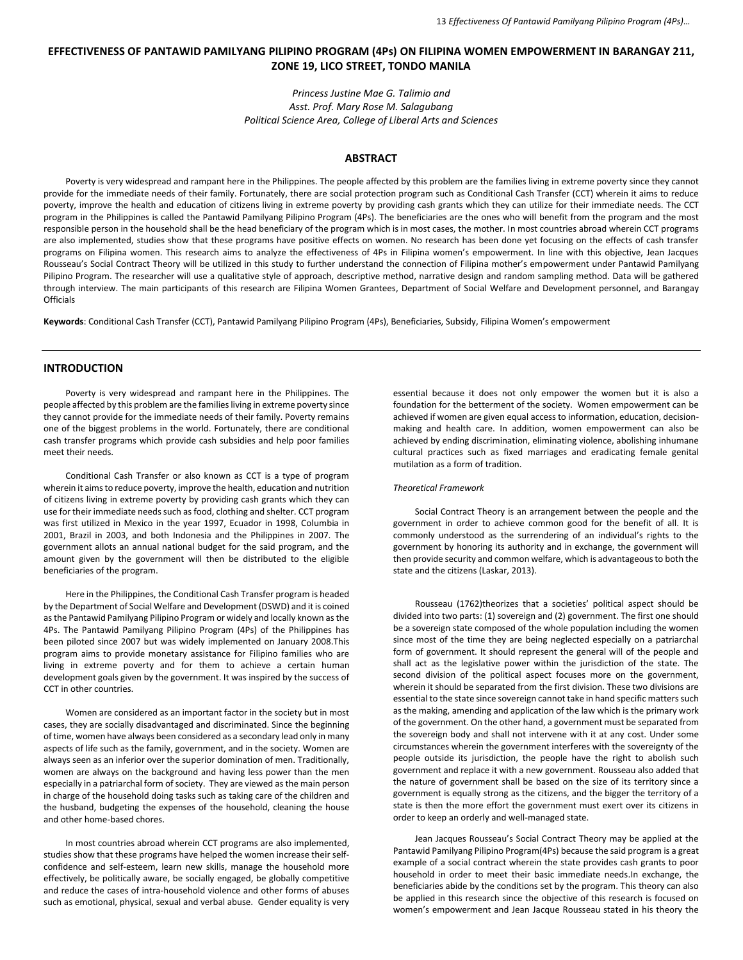# **EFFECTIVENESS OF PANTAWID PAMILYANG PILIPINO PROGRAM (4Ps) ON FILIPINA WOMEN EMPOWERMENT IN BARANGAY 211, ZONE 19, LICO STREET, TONDO MANILA**

*Princess Justine Mae G. Talimio and Asst. Prof. Mary Rose M. Salagubang Political Science Area, College of Liberal Arts and Sciences*

# **ABSTRACT**

Poverty is very widespread and rampant here in the Philippines. The people affected by this problem are the families living in extreme poverty since they cannot provide for the immediate needs of their family. Fortunately, there are social protection program such as Conditional Cash Transfer (CCT) wherein it aims to reduce poverty, improve the health and education of citizens living in extreme poverty by providing cash grants which they can utilize for their immediate needs. The CCT program in the Philippines is called the Pantawid Pamilyang Pilipino Program (4Ps). The beneficiaries are the ones who will benefit from the program and the most responsible person in the household shall be the head beneficiary of the program which is in most cases, the mother. In most countries abroad wherein CCT programs are also implemented, studies show that these programs have positive effects on women. No research has been done yet focusing on the effects of cash transfer programs on Filipina women. This research aims to analyze the effectiveness of 4Ps in Filipina women's empowerment. In line with this objective, Jean Jacques Rousseau's Social Contract Theory will be utilized in this study to further understand the connection of Filipina mother's empowerment under Pantawid Pamilyang Pilipino Program. The researcher will use a qualitative style of approach, descriptive method, narrative design and random sampling method. Data will be gathered through interview. The main participants of this research are Filipina Women Grantees, Department of Social Welfare and Development personnel, and Barangay **Officials** 

**Keywords**: Conditional Cash Transfer (CCT), Pantawid Pamilyang Pilipino Program (4Ps), Beneficiaries, Subsidy, Filipina Women's empowerment

# **INTRODUCTION**

Poverty is very widespread and rampant here in the Philippines. The people affected by this problem are the families living in extreme poverty since they cannot provide for the immediate needs of their family. Poverty remains one of the biggest problems in the world. Fortunately, there are conditional cash transfer programs which provide cash subsidies and help poor families meet their needs.

Conditional Cash Transfer or also known as CCT is a type of program wherein it aims to reduce poverty, improve the health, education and nutrition of citizens living in extreme poverty by providing cash grants which they can use for their immediate needs such as food, clothing and shelter. CCT program was first utilized in Mexico in the year 1997, Ecuador in 1998, Columbia in 2001, Brazil in 2003, and both Indonesia and the Philippines in 2007. The government allots an annual national budget for the said program, and the amount given by the government will then be distributed to the eligible beneficiaries of the program.

Here in the Philippines, the Conditional Cash Transfer program is headed by the Department of Social Welfare and Development (DSWD) and it is coined as the Pantawid Pamilyang Pilipino Program or widely and locally known as the 4Ps. The Pantawid Pamilyang Pilipino Program (4Ps) of the Philippines has been piloted since 2007 but was widely implemented on January 2008.This program aims to provide monetary assistance for Filipino families who are living in extreme poverty and for them to achieve a certain human development goals given by the government. It was inspired by the success of CCT in other countries.

Women are considered as an important factor in the society but in most cases, they are socially disadvantaged and discriminated. Since the beginning of time, women have always been considered as a secondary lead only in many aspects of life such as the family, government, and in the society. Women are always seen as an inferior over the superior domination of men. Traditionally, women are always on the background and having less power than the men especially in a patriarchal form of society. They are viewed as the main person in charge of the household doing tasks such as taking care of the children and the husband, budgeting the expenses of the household, cleaning the house and other home-based chores.

In most countries abroad wherein CCT programs are also implemented, studies show that these programs have helped the women increase their selfconfidence and self-esteem, learn new skills, manage the household more effectively, be politically aware, be socially engaged, be globally competitive and reduce the cases of intra-household violence and other forms of abuses such as emotional, physical, sexual and verbal abuse. Gender equality is very

essential because it does not only empower the women but it is also a foundation for the betterment of the society. Women empowerment can be achieved if women are given equal access to information, education, decisionmaking and health care. In addition, women empowerment can also be achieved by ending discrimination, eliminating violence, abolishing inhumane cultural practices such as fixed marriages and eradicating female genital mutilation as a form of tradition.

### *Theoretical Framework*

Social Contract Theory is an arrangement between the people and the government in order to achieve common good for the benefit of all. It is commonly understood as the surrendering of an individual's rights to the government by honoring its authority and in exchange, the government will then provide security and common welfare, which is advantageous to both the state and the citizens (Laskar, 2013).

Rousseau (1762)theorizes that a societies' political aspect should be divided into two parts: (1) sovereign and (2) government. The first one should be a sovereign state composed of the whole population including the women since most of the time they are being neglected especially on a patriarchal form of government. It should represent the general will of the people and shall act as the legislative power within the jurisdiction of the state. The second division of the political aspect focuses more on the government, wherein it should be separated from the first division. These two divisions are essential to the state since sovereign cannot take in hand specific matters such as the making, amending and application of the law which is the primary work of the government. On the other hand, a government must be separated from the sovereign body and shall not intervene with it at any cost. Under some circumstances wherein the government interferes with the sovereignty of the people outside its jurisdiction, the people have the right to abolish such government and replace it with a new government. Rousseau also added that the nature of government shall be based on the size of its territory since a government is equally strong as the citizens, and the bigger the territory of a state is then the more effort the government must exert over its citizens in order to keep an orderly and well-managed state.

Jean Jacques Rousseau's Social Contract Theory may be applied at the Pantawid Pamilyang Pilipino Program(4Ps) because the said program is a great example of a social contract wherein the state provides cash grants to poor household in order to meet their basic immediate needs.In exchange, the beneficiaries abide by the conditions set by the program. This theory can also be applied in this research since the objective of this research is focused on women's empowerment and Jean Jacque Rousseau stated in his theory the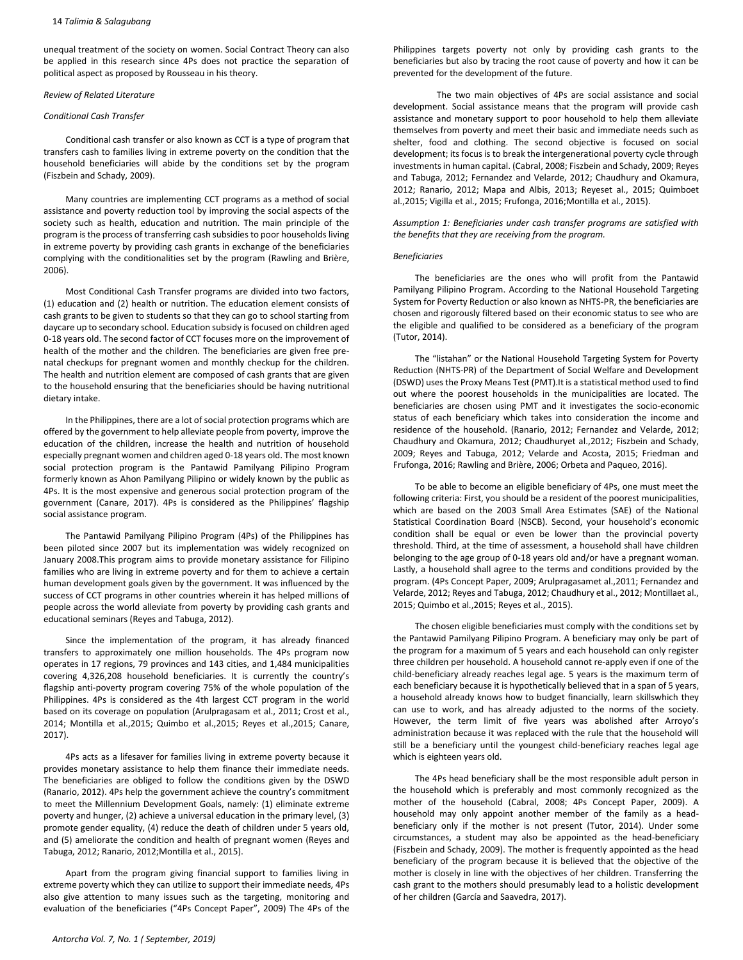### 14 *Talimia & Salagubang*

unequal treatment of the society on women. Social Contract Theory can also be applied in this research since 4Ps does not practice the separation of political aspect as proposed by Rousseau in his theory.

# *Review of Related Literature*

### *Conditional Cash Transfer*

Conditional cash transfer or also known as CCT is a type of program that transfers cash to families living in extreme poverty on the condition that the household beneficiaries will abide by the conditions set by the program (Fiszbein and Schady, 2009).

Many countries are implementing CCT programs as a method of social assistance and poverty reduction tool by improving the social aspects of the society such as health, education and nutrition. The main principle of the program is the process of transferring cash subsidies to poor households living in extreme poverty by providing cash grants in exchange of the beneficiaries complying with the conditionalities set by the program (Rawling and Brière, 2006).

Most Conditional Cash Transfer programs are divided into two factors, (1) education and (2) health or nutrition. The education element consists of cash grants to be given to students so that they can go to school starting from daycare up to secondary school. Education subsidy is focused on children aged 0-18 years old. The second factor of CCT focuses more on the improvement of health of the mother and the children. The beneficiaries are given free prenatal checkups for pregnant women and monthly checkup for the children. The health and nutrition element are composed of cash grants that are given to the household ensuring that the beneficiaries should be having nutritional dietary intake.

In the Philippines, there are a lot of social protection programs which are offered by the government to help alleviate people from poverty, improve the education of the children, increase the health and nutrition of household especially pregnant women and children aged 0-18 years old. The most known social protection program is the Pantawid Pamilyang Pilipino Program formerly known as Ahon Pamilyang Pilipino or widely known by the public as 4Ps. It is the most expensive and generous social protection program of the government (Canare, 2017). 4Ps is considered as the Philippines' flagship social assistance program.

The Pantawid Pamilyang Pilipino Program (4Ps) of the Philippines has been piloted since 2007 but its implementation was widely recognized on January 2008.This program aims to provide monetary assistance for Filipino families who are living in extreme poverty and for them to achieve a certain human development goals given by the government. It was influenced by the success of CCT programs in other countries wherein it has helped millions of people across the world alleviate from poverty by providing cash grants and educational seminars (Reyes and Tabuga, 2012).

Since the implementation of the program, it has already financed transfers to approximately one million households. The 4Ps program now operates in 17 regions, 79 provinces and 143 cities, and 1,484 municipalities covering 4,326,208 household beneficiaries. It is currently the country's flagship anti-poverty program covering 75% of the whole population of the Philippines. 4Ps is considered as the 4th largest CCT program in the world based on its coverage on population (Arulpragasam et al., 2011; Crost et al., 2014; Montilla et al.,2015; Quimbo et al.,2015; Reyes et al.,2015; Canare, 2017).

4Ps acts as a lifesaver for families living in extreme poverty because it provides monetary assistance to help them finance their immediate needs. The beneficiaries are obliged to follow the conditions given by the DSWD (Ranario, 2012). 4Ps help the government achieve the country's commitment to meet the Millennium Development Goals, namely: (1) eliminate extreme poverty and hunger, (2) achieve a universal education in the primary level, (3) promote gender equality, (4) reduce the death of children under 5 years old, and (5) ameliorate the condition and health of pregnant women (Reyes and Tabuga, 2012; Ranario, 2012;Montilla et al., 2015).

Apart from the program giving financial support to families living in extreme poverty which they can utilize to support their immediate needs, 4Ps also give attention to many issues such as the targeting, monitoring and evaluation of the beneficiaries ("4Ps Concept Paper", 2009) The 4Ps of the

Philippines targets poverty not only by providing cash grants to the beneficiaries but also by tracing the root cause of poverty and how it can be prevented for the development of the future.

The two main objectives of 4Ps are social assistance and social development. Social assistance means that the program will provide cash assistance and monetary support to poor household to help them alleviate themselves from poverty and meet their basic and immediate needs such as shelter, food and clothing. The second objective is focused on social development; its focus is to break the intergenerational poverty cycle through investments in human capital. (Cabral, 2008; Fiszbein and Schady, 2009; Reyes and Tabuga, 2012; Fernandez and Velarde, 2012; Chaudhury and Okamura, 2012; Ranario, 2012; Mapa and Albis, 2013; Reyeset al., 2015; Quimboet al.,2015; Vigilla et al., 2015; Frufonga, 2016;Montilla et al., 2015).

*Assumption 1: Beneficiaries under cash transfer programs are satisfied with the benefits that they are receiving from the program.* 

### *Beneficiaries*

The beneficiaries are the ones who will profit from the Pantawid Pamilyang Pilipino Program. According to the National Household Targeting System for Poverty Reduction or also known as NHTS-PR, the beneficiaries are chosen and rigorously filtered based on their economic status to see who are the eligible and qualified to be considered as a beneficiary of the program (Tutor, 2014).

The "listahan" or the National Household Targeting System for Poverty Reduction (NHTS-PR) of the Department of Social Welfare and Development (DSWD) uses the Proxy Means Test (PMT).It is a statistical method used to find out where the poorest households in the municipalities are located. The beneficiaries are chosen using PMT and it investigates the socio-economic status of each beneficiary which takes into consideration the income and residence of the household. (Ranario, 2012; Fernandez and Velarde, 2012; Chaudhury and Okamura, 2012; Chaudhuryet al.,2012; Fiszbein and Schady, 2009; Reyes and Tabuga, 2012; Velarde and Acosta, 2015; Friedman and Frufonga, 2016; Rawling and Brière, 2006; Orbeta and Paqueo, 2016).

To be able to become an eligible beneficiary of 4Ps, one must meet the following criteria: First, you should be a resident of the poorest municipalities, which are based on the 2003 Small Area Estimates (SAE) of the National Statistical Coordination Board (NSCB). Second, your household's economic condition shall be equal or even be lower than the provincial poverty threshold. Third, at the time of assessment, a household shall have children belonging to the age group of 0-18 years old and/or have a pregnant woman. Lastly, a household shall agree to the terms and conditions provided by the program. (4Ps Concept Paper, 2009; Arulpragasamet al.,2011; Fernandez and Velarde, 2012; Reyes and Tabuga, 2012; Chaudhury et al., 2012; Montillaet al., 2015; Quimbo et al.,2015; Reyes et al., 2015).

The chosen eligible beneficiaries must comply with the conditions set by the Pantawid Pamilyang Pilipino Program. A beneficiary may only be part of the program for a maximum of 5 years and each household can only register three children per household. A household cannot re-apply even if one of the child-beneficiary already reaches legal age. 5 years is the maximum term of each beneficiary because it is hypothetically believed that in a span of 5 years, a household already knows how to budget financially, learn skillswhich they can use to work, and has already adjusted to the norms of the society. However, the term limit of five years was abolished after Arroyo's administration because it was replaced with the rule that the household will still be a beneficiary until the youngest child-beneficiary reaches legal age which is eighteen years old.

The 4Ps head beneficiary shall be the most responsible adult person in the household which is preferably and most commonly recognized as the mother of the household (Cabral, 2008; 4Ps Concept Paper, 2009). A household may only appoint another member of the family as a headbeneficiary only if the mother is not present (Tutor, 2014). Under some circumstances, a student may also be appointed as the head-beneficiary (Fiszbein and Schady, 2009). The mother is frequently appointed as the head beneficiary of the program because it is believed that the objective of the mother is closely in line with the objectives of her children. Transferring the cash grant to the mothers should presumably lead to a holistic development of her children (García and Saavedra, 2017).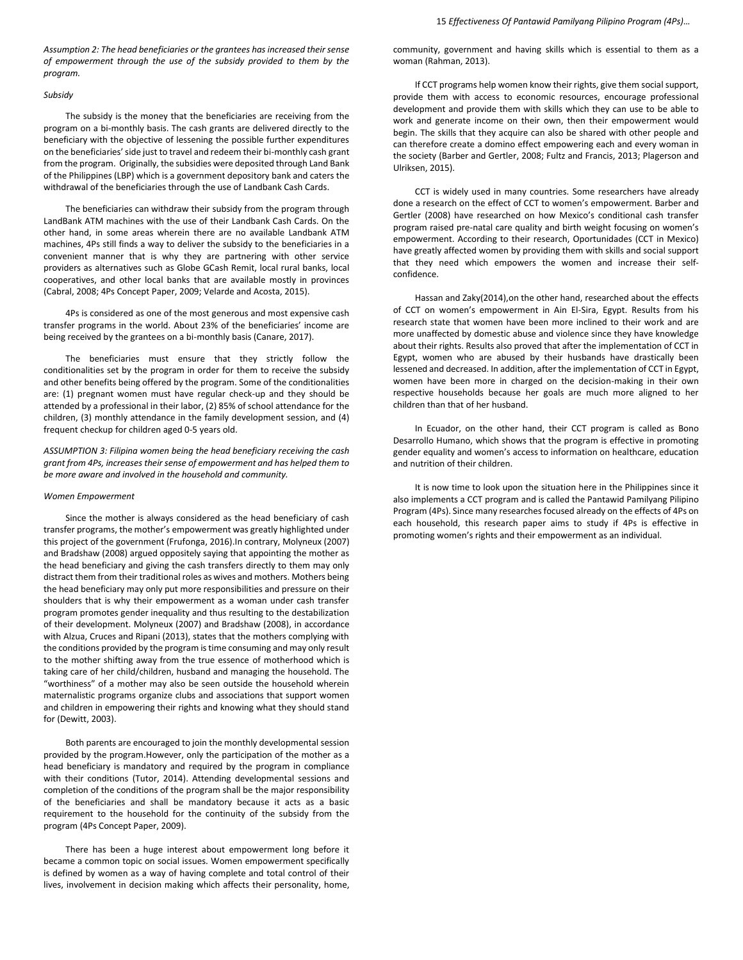*Assumption 2: The head beneficiaries or the grantees has increased their sense of empowerment through the use of the subsidy provided to them by the program.*

## *Subsidy*

The subsidy is the money that the beneficiaries are receiving from the program on a bi-monthly basis. The cash grants are delivered directly to the beneficiary with the objective of lessening the possible further expenditures on the beneficiaries' side just to travel and redeem their bi-monthly cash grant from the program. Originally, the subsidies were deposited through Land Bank of the Philippines (LBP) which is a government depository bank and caters the withdrawal of the beneficiaries through the use of Landbank Cash Cards.

The beneficiaries can withdraw their subsidy from the program through LandBank ATM machines with the use of their Landbank Cash Cards. On the other hand, in some areas wherein there are no available Landbank ATM machines, 4Ps still finds a way to deliver the subsidy to the beneficiaries in a convenient manner that is why they are partnering with other service providers as alternatives such as Globe GCash Remit, local rural banks, local cooperatives, and other local banks that are available mostly in provinces (Cabral, 2008; 4Ps Concept Paper, 2009; Velarde and Acosta, 2015).

4Ps is considered as one of the most generous and most expensive cash transfer programs in the world. About 23% of the beneficiaries' income are being received by the grantees on a bi-monthly basis (Canare, 2017).

The beneficiaries must ensure that they strictly follow the conditionalities set by the program in order for them to receive the subsidy and other benefits being offered by the program. Some of the conditionalities are: (1) pregnant women must have regular check-up and they should be attended by a professional in their labor, (2) 85% of school attendance for the children, (3) monthly attendance in the family development session, and (4) frequent checkup for children aged 0-5 years old.

*ASSUMPTION 3: Filipina women being the head beneficiary receiving the cash grant from 4Ps, increases their sense of empowerment and has helped them to be more aware and involved in the household and community.*

### *Women Empowerment*

Since the mother is always considered as the head beneficiary of cash transfer programs, the mother's empowerment was greatly highlighted under this project of the government (Frufonga, 2016).In contrary, Molyneux (2007) and Bradshaw (2008) argued oppositely saying that appointing the mother as the head beneficiary and giving the cash transfers directly to them may only distract them from their traditional roles as wives and mothers. Mothers being the head beneficiary may only put more responsibilities and pressure on their shoulders that is why their empowerment as a woman under cash transfer program promotes gender inequality and thus resulting to the destabilization of their development. Molyneux (2007) and Bradshaw (2008), in accordance with Alzua, Cruces and Ripani (2013), states that the mothers complying with the conditions provided by the program is time consuming and may only result to the mother shifting away from the true essence of motherhood which is taking care of her child/children, husband and managing the household. The "worthiness" of a mother may also be seen outside the household wherein maternalistic programs organize clubs and associations that support women and children in empowering their rights and knowing what they should stand for (Dewitt, 2003).

Both parents are encouraged to join the monthly developmental session provided by the program.However, only the participation of the mother as a head beneficiary is mandatory and required by the program in compliance with their conditions (Tutor, 2014). Attending developmental sessions and completion of the conditions of the program shall be the major responsibility of the beneficiaries and shall be mandatory because it acts as a basic requirement to the household for the continuity of the subsidy from the program (4Ps Concept Paper, 2009).

There has been a huge interest about empowerment long before it became a common topic on social issues. Women empowerment specifically is defined by women as a way of having complete and total control of their lives, involvement in decision making which affects their personality, home, community, government and having skills which is essential to them as a woman (Rahman, 2013).

If CCT programs help women know their rights, give them social support, provide them with access to economic resources, encourage professional development and provide them with skills which they can use to be able to work and generate income on their own, then their empowerment would begin. The skills that they acquire can also be shared with other people and can therefore create a domino effect empowering each and every woman in the society (Barber and Gertler, 2008; Fultz and Francis, 2013; Plagerson and Ulriksen, 2015).

CCT is widely used in many countries. Some researchers have already done a research on the effect of CCT to women's empowerment. Barber and Gertler (2008) have researched on how Mexico's conditional cash transfer program raised pre-natal care quality and birth weight focusing on women's empowerment. According to their research, Oportunidades (CCT in Mexico) have greatly affected women by providing them with skills and social support that they need which empowers the women and increase their selfconfidence.

Hassan and Zaky(2014),on the other hand, researched about the effects of CCT on women's empowerment in Ain El-Sira, Egypt. Results from his research state that women have been more inclined to their work and are more unaffected by domestic abuse and violence since they have knowledge about their rights. Results also proved that after the implementation of CCT in Egypt, women who are abused by their husbands have drastically been lessened and decreased. In addition, after the implementation of CCT in Egypt, women have been more in charged on the decision-making in their own respective households because her goals are much more aligned to her children than that of her husband.

In Ecuador, on the other hand, their CCT program is called as Bono Desarrollo Humano, which shows that the program is effective in promoting gender equality and women's access to information on healthcare, education and nutrition of their children.

It is now time to look upon the situation here in the Philippines since it also implements a CCT program and is called the Pantawid Pamilyang Pilipino Program (4Ps). Since many researches focused already on the effects of 4Ps on each household, this research paper aims to study if 4Ps is effective in promoting women's rights and their empowerment as an individual.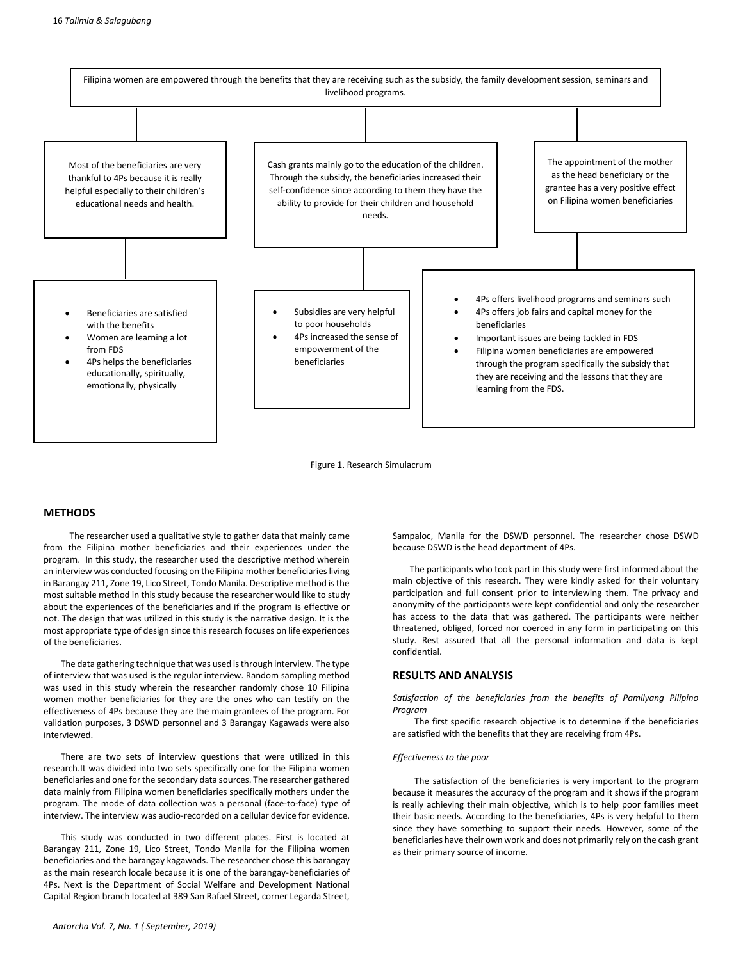

Figure 1. Research Simulacrum

# **METHODS**

The researcher used a qualitative style to gather data that mainly came from the Filipina mother beneficiaries and their experiences under the program. In this study, the researcher used the descriptive method wherein an interview was conducted focusing on the Filipina mother beneficiaries living in Barangay 211, Zone 19, Lico Street, Tondo Manila. Descriptive method is the most suitable method in this study because the researcher would like to study about the experiences of the beneficiaries and if the program is effective or not. The design that was utilized in this study is the narrative design. It is the most appropriate type of design since this research focuses on life experiences of the beneficiaries.

The data gathering technique that was used is through interview. The type of interview that was used is the regular interview. Random sampling method was used in this study wherein the researcher randomly chose 10 Filipina women mother beneficiaries for they are the ones who can testify on the effectiveness of 4Ps because they are the main grantees of the program. For validation purposes, 3 DSWD personnel and 3 Barangay Kagawads were also interviewed.

There are two sets of interview questions that were utilized in this research.It was divided into two sets specifically one for the Filipina women beneficiaries and one for the secondary data sources. The researcher gathered data mainly from Filipina women beneficiaries specifically mothers under the program. The mode of data collection was a personal (face-to-face) type of interview. The interview was audio-recorded on a cellular device for evidence.

This study was conducted in two different places. First is located at Barangay 211, Zone 19, Lico Street, Tondo Manila for the Filipina women beneficiaries and the barangay kagawads. The researcher chose this barangay as the main research locale because it is one of the barangay-beneficiaries of 4Ps. Next is the Department of Social Welfare and Development National Capital Region branch located at 389 San Rafael Street, corner Legarda Street,

Sampaloc, Manila for the DSWD personnel. The researcher chose DSWD because DSWD is the head department of 4Ps.

The participants who took part in this study were first informed about the main objective of this research. They were kindly asked for their voluntary participation and full consent prior to interviewing them. The privacy and anonymity of the participants were kept confidential and only the researcher has access to the data that was gathered. The participants were neither threatened, obliged, forced nor coerced in any form in participating on this study. Rest assured that all the personal information and data is kept confidential.

# **RESULTS AND ANALYSIS**

*Satisfaction of the beneficiaries from the benefits of Pamilyang Pilipino Program*

The first specific research objective is to determine if the beneficiaries are satisfied with the benefits that they are receiving from 4Ps.

### *Effectiveness to the poor*

The satisfaction of the beneficiaries is very important to the program because it measures the accuracy of the program and it shows if the program is really achieving their main objective, which is to help poor families meet their basic needs. According to the beneficiaries, 4Ps is very helpful to them since they have something to support their needs. However, some of the beneficiaries have their own work and does not primarily rely on the cash grant as their primary source of income.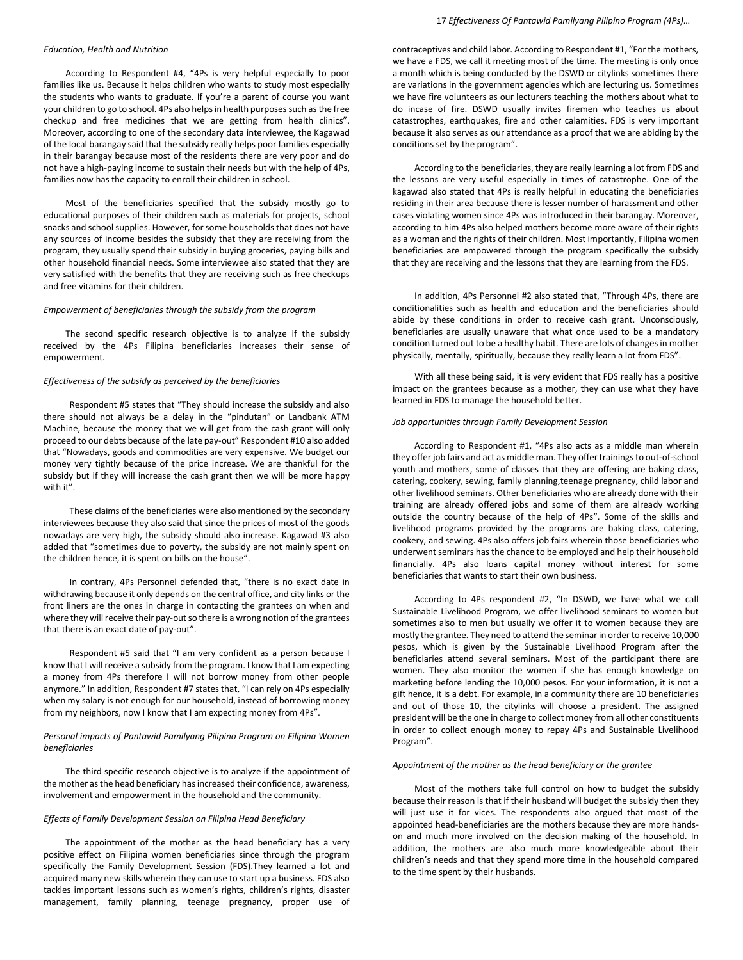#### *Education, Health and Nutrition*

According to Respondent #4, "4Ps is very helpful especially to poor families like us. Because it helps children who wants to study most especially the students who wants to graduate. If you're a parent of course you want your children to go to school. 4Ps also helps in health purposes such as the free checkup and free medicines that we are getting from health clinics". Moreover, according to one of the secondary data interviewee, the Kagawad of the local barangay said that the subsidy really helps poor families especially in their barangay because most of the residents there are very poor and do not have a high-paying income to sustain their needs but with the help of 4Ps, families now has the capacity to enroll their children in school.

Most of the beneficiaries specified that the subsidy mostly go to educational purposes of their children such as materials for projects, school snacks and school supplies. However, for some households that does not have any sources of income besides the subsidy that they are receiving from the program, they usually spend their subsidy in buying groceries, paying bills and other household financial needs. Some interviewee also stated that they are very satisfied with the benefits that they are receiving such as free checkups and free vitamins for their children.

#### *Empowerment of beneficiaries through the subsidy from the program*

The second specific research objective is to analyze if the subsidy received by the 4Ps Filipina beneficiaries increases their sense of empowerment.

# *Effectiveness of the subsidy as perceived by the beneficiaries*

Respondent #5 states that "They should increase the subsidy and also there should not always be a delay in the "pindutan" or Landbank ATM Machine, because the money that we will get from the cash grant will only proceed to our debts because of the late pay-out" Respondent #10 also added that "Nowadays, goods and commodities are very expensive. We budget our money very tightly because of the price increase. We are thankful for the subsidy but if they will increase the cash grant then we will be more happy with it".

These claims of the beneficiaries were also mentioned by the secondary interviewees because they also said that since the prices of most of the goods nowadays are very high, the subsidy should also increase. Kagawad #3 also added that "sometimes due to poverty, the subsidy are not mainly spent on the children hence, it is spent on bills on the house".

In contrary, 4Ps Personnel defended that, "there is no exact date in withdrawing because it only depends on the central office, and city links or the front liners are the ones in charge in contacting the grantees on when and where they will receive their pay-out so there is a wrong notion of the grantees that there is an exact date of pay-out".

Respondent #5 said that "I am very confident as a person because I know that I will receive a subsidy from the program. I know that I am expecting a money from 4Ps therefore I will not borrow money from other people anymore." In addition, Respondent #7 states that, "I can rely on 4Ps especially when my salary is not enough for our household, instead of borrowing money from my neighbors, now I know that I am expecting money from 4Ps".

# *Personal impacts of Pantawid Pamilyang Pilipino Program on Filipina Women beneficiaries*

The third specific research objective is to analyze if the appointment of the mother as the head beneficiary has increased their confidence, awareness, involvement and empowerment in the household and the community.

# *Effects of Family Development Session on Filipina Head Beneficiary*

The appointment of the mother as the head beneficiary has a very positive effect on Filipina women beneficiaries since through the program specifically the Family Development Session (FDS).They learned a lot and acquired many new skills wherein they can use to start up a business. FDS also tackles important lessons such as women's rights, children's rights, disaster management, family planning, teenage pregnancy, proper use of

### 17 *Effectiveness Of Pantawid Pamilyang Pilipino Program (4Ps)…*

contraceptives and child labor. According to Respondent #1, "For the mothers, we have a FDS, we call it meeting most of the time. The meeting is only once a month which is being conducted by the DSWD or citylinks sometimes there are variations in the government agencies which are lecturing us. Sometimes we have fire volunteers as our lecturers teaching the mothers about what to do incase of fire. DSWD usually invites firemen who teaches us about catastrophes, earthquakes, fire and other calamities. FDS is very important because it also serves as our attendance as a proof that we are abiding by the conditions set by the program".

According to the beneficiaries, they are really learning a lot from FDS and the lessons are very useful especially in times of catastrophe. One of the kagawad also stated that 4Ps is really helpful in educating the beneficiaries residing in their area because there is lesser number of harassment and other cases violating women since 4Ps was introduced in their barangay. Moreover, according to him 4Ps also helped mothers become more aware of their rights as a woman and the rights of their children. Most importantly, Filipina women beneficiaries are empowered through the program specifically the subsidy that they are receiving and the lessons that they are learning from the FDS.

In addition, 4Ps Personnel #2 also stated that, "Through 4Ps, there are conditionalities such as health and education and the beneficiaries should abide by these conditions in order to receive cash grant. Unconsciously, beneficiaries are usually unaware that what once used to be a mandatory condition turned out to be a healthy habit. There are lots of changes in mother physically, mentally, spiritually, because they really learn a lot from FDS".

With all these being said, it is very evident that FDS really has a positive impact on the grantees because as a mother, they can use what they have learned in FDS to manage the household better.

# *Job opportunities through Family Development Session*

According to Respondent #1, "4Ps also acts as a middle man wherein they offer job fairs and act as middle man. They offer trainings to out-of-school youth and mothers, some of classes that they are offering are baking class, catering, cookery, sewing, family planning,teenage pregnancy, child labor and other livelihood seminars. Other beneficiaries who are already done with their training are already offered jobs and some of them are already working outside the country because of the help of 4Ps". Some of the skills and livelihood programs provided by the programs are baking class, catering, cookery, and sewing. 4Ps also offers job fairs wherein those beneficiaries who underwent seminars has the chance to be employed and help their household financially. 4Ps also loans capital money without interest for some beneficiaries that wants to start their own business.

According to 4Ps respondent #2, "In DSWD, we have what we call Sustainable Livelihood Program, we offer livelihood seminars to women but sometimes also to men but usually we offer it to women because they are mostly the grantee. They need to attend the seminar in order to receive 10,000 pesos, which is given by the Sustainable Livelihood Program after the beneficiaries attend several seminars. Most of the participant there are women. They also monitor the women if she has enough knowledge on marketing before lending the 10,000 pesos. For your information, it is not a gift hence, it is a debt. For example, in a community there are 10 beneficiaries and out of those 10, the citylinks will choose a president. The assigned president will be the one in charge to collect money from all other constituents in order to collect enough money to repay 4Ps and Sustainable Livelihood Program".

# *Appointment of the mother as the head beneficiary or the grantee*

Most of the mothers take full control on how to budget the subsidy because their reason is that if their husband will budget the subsidy then they will just use it for vices. The respondents also argued that most of the appointed head-beneficiaries are the mothers because they are more handson and much more involved on the decision making of the household. In addition, the mothers are also much more knowledgeable about their children's needs and that they spend more time in the household compared to the time spent by their husbands.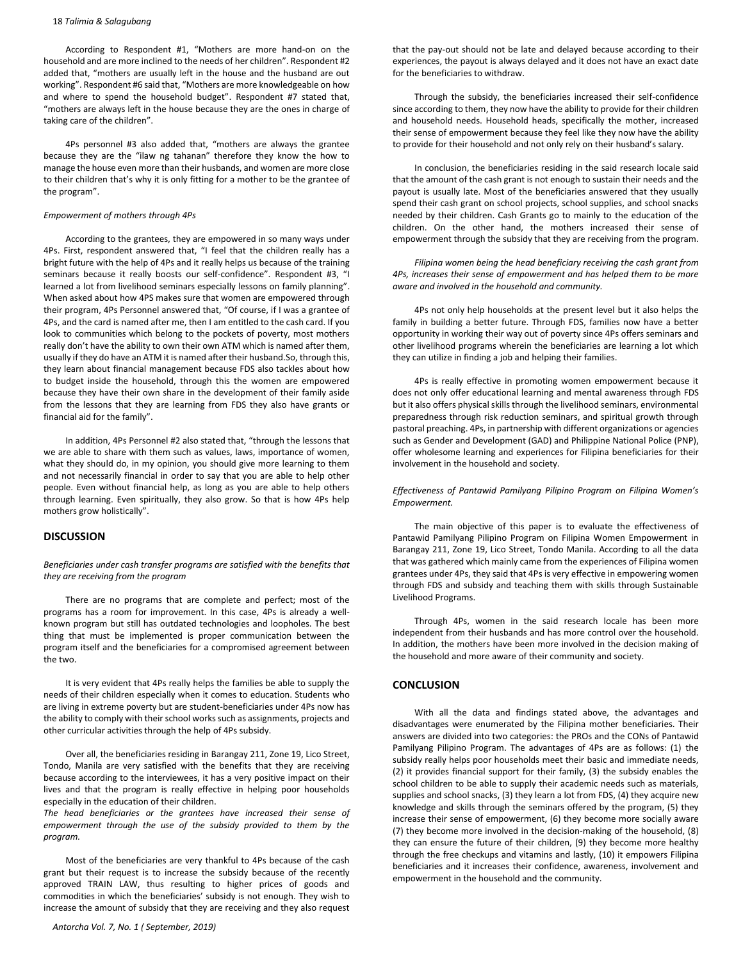### 18 *Talimia & Salagubang*

According to Respondent #1, "Mothers are more hand-on on the household and are more inclined to the needs of her children". Respondent #2 added that, "mothers are usually left in the house and the husband are out working". Respondent #6 said that, "Mothers are more knowledgeable on how and where to spend the household budget". Respondent #7 stated that, "mothers are always left in the house because they are the ones in charge of taking care of the children".

4Ps personnel #3 also added that, "mothers are always the grantee because they are the "ilaw ng tahanan" therefore they know the how to manage the house even more than their husbands, and women are more close to their children that's why it is only fitting for a mother to be the grantee of the program".

# *Empowerment of mothers through 4Ps*

According to the grantees, they are empowered in so many ways under 4Ps. First, respondent answered that, "I feel that the children really has a bright future with the help of 4Ps and it really helps us because of the training seminars because it really boosts our self-confidence". Respondent #3, "I learned a lot from livelihood seminars especially lessons on family planning". When asked about how 4PS makes sure that women are empowered through their program, 4Ps Personnel answered that, "Of course, if I was a grantee of 4Ps, and the card is named after me, then I am entitled to the cash card. If you look to communities which belong to the pockets of poverty, most mothers really don't have the ability to own their own ATM which is named after them, usually if they do have an ATM it is named after their husband.So, through this, they learn about financial management because FDS also tackles about how to budget inside the household, through this the women are empowered because they have their own share in the development of their family aside from the lessons that they are learning from FDS they also have grants or financial aid for the family".

In addition, 4Ps Personnel #2 also stated that, "through the lessons that we are able to share with them such as values, laws, importance of women, what they should do, in my opinion, you should give more learning to them and not necessarily financial in order to say that you are able to help other people. Even without financial help, as long as you are able to help others through learning. Even spiritually, they also grow. So that is how 4Ps help mothers grow holistically".

# **DISCUSSION**

*Beneficiaries under cash transfer programs are satisfied with the benefits that they are receiving from the program*

There are no programs that are complete and perfect; most of the programs has a room for improvement. In this case, 4Ps is already a wellknown program but still has outdated technologies and loopholes. The best thing that must be implemented is proper communication between the program itself and the beneficiaries for a compromised agreement between the two.

It is very evident that 4Ps really helps the families be able to supply the needs of their children especially when it comes to education. Students who are living in extreme poverty but are student-beneficiaries under 4Ps now has the ability to comply with their school works such as assignments, projects and other curricular activities through the help of 4Ps subsidy.

Over all, the beneficiaries residing in Barangay 211, Zone 19, Lico Street, Tondo, Manila are very satisfied with the benefits that they are receiving because according to the interviewees, it has a very positive impact on their lives and that the program is really effective in helping poor households especially in the education of their children.

*The head beneficiaries or the grantees have increased their sense of empowerment through the use of the subsidy provided to them by the program.*

Most of the beneficiaries are very thankful to 4Ps because of the cash grant but their request is to increase the subsidy because of the recently approved TRAIN LAW, thus resulting to higher prices of goods and commodities in which the beneficiaries' subsidy is not enough. They wish to increase the amount of subsidy that they are receiving and they also request that the pay-out should not be late and delayed because according to their experiences, the payout is always delayed and it does not have an exact date for the beneficiaries to withdraw.

Through the subsidy, the beneficiaries increased their self-confidence since according to them, they now have the ability to provide for their children and household needs. Household heads, specifically the mother, increased their sense of empowerment because they feel like they now have the ability to provide for their household and not only rely on their husband's salary.

In conclusion, the beneficiaries residing in the said research locale said that the amount of the cash grant is not enough to sustain their needs and the payout is usually late. Most of the beneficiaries answered that they usually spend their cash grant on school projects, school supplies, and school snacks needed by their children. Cash Grants go to mainly to the education of the children. On the other hand, the mothers increased their sense of empowerment through the subsidy that they are receiving from the program.

*Filipina women being the head beneficiary receiving the cash grant from 4Ps, increases their sense of empowerment and has helped them to be more aware and involved in the household and community.*

4Ps not only help households at the present level but it also helps the family in building a better future. Through FDS, families now have a better opportunity in working their way out of poverty since 4Ps offers seminars and other livelihood programs wherein the beneficiaries are learning a lot which they can utilize in finding a job and helping their families.

4Ps is really effective in promoting women empowerment because it does not only offer educational learning and mental awareness through FDS but it also offers physical skills through the livelihood seminars, environmental preparedness through risk reduction seminars, and spiritual growth through pastoral preaching. 4Ps, in partnership with different organizations or agencies such as Gender and Development (GAD) and Philippine National Police (PNP), offer wholesome learning and experiences for Filipina beneficiaries for their involvement in the household and society.

*Effectiveness of Pantawid Pamilyang Pilipino Program on Filipina Women's Empowerment.*

The main objective of this paper is to evaluate the effectiveness of Pantawid Pamilyang Pilipino Program on Filipina Women Empowerment in Barangay 211, Zone 19, Lico Street, Tondo Manila. According to all the data that was gathered which mainly came from the experiences of Filipina women grantees under 4Ps, they said that 4Ps is very effective in empowering women through FDS and subsidy and teaching them with skills through Sustainable Livelihood Programs.

Through 4Ps, women in the said research locale has been more independent from their husbands and has more control over the household. In addition, the mothers have been more involved in the decision making of the household and more aware of their community and society.

# **CONCLUSION**

With all the data and findings stated above, the advantages and disadvantages were enumerated by the Filipina mother beneficiaries. Their answers are divided into two categories: the PROs and the CONs of Pantawid Pamilyang Pilipino Program. The advantages of 4Ps are as follows: (1) the subsidy really helps poor households meet their basic and immediate needs, (2) it provides financial support for their family, (3) the subsidy enables the school children to be able to supply their academic needs such as materials, supplies and school snacks, (3) they learn a lot from FDS, (4) they acquire new knowledge and skills through the seminars offered by the program, (5) they increase their sense of empowerment, (6) they become more socially aware (7) they become more involved in the decision-making of the household, (8) they can ensure the future of their children, (9) they become more healthy through the free checkups and vitamins and lastly, (10) it empowers Filipina beneficiaries and it increases their confidence, awareness, involvement and empowerment in the household and the community.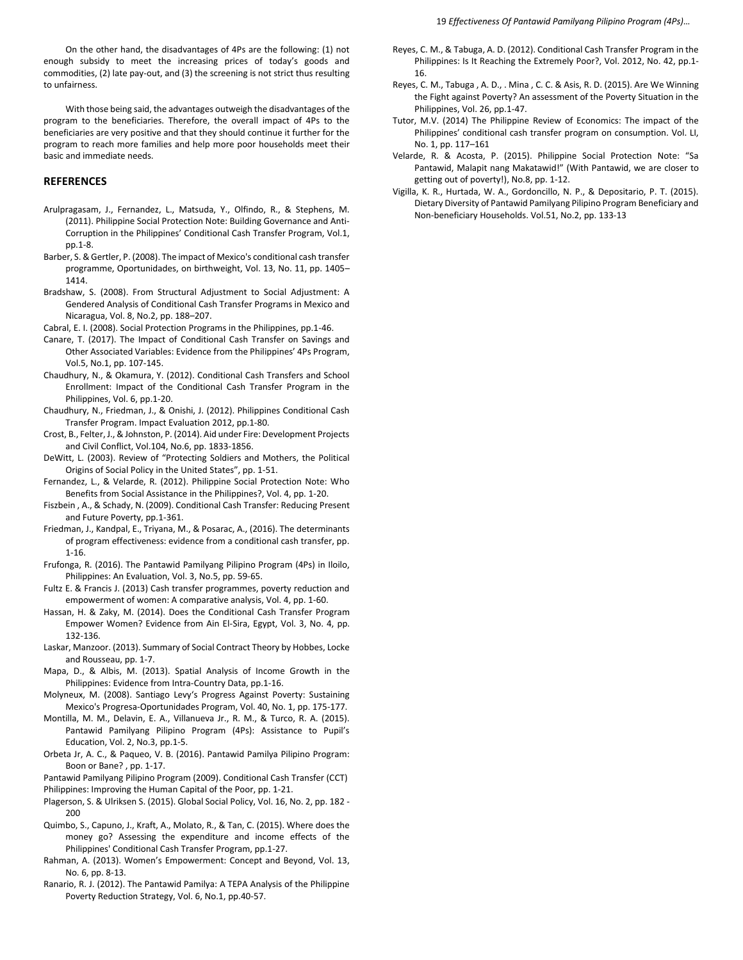19 *Effectiveness Of Pantawid Pamilyang Pilipino Program (4Ps)…*

On the other hand, the disadvantages of 4Ps are the following: (1) not enough subsidy to meet the increasing prices of today's goods and commodities, (2) late pay-out, and (3) the screening is not strict thus resulting to unfairness.

With those being said, the advantages outweigh the disadvantages of the program to the beneficiaries. Therefore, the overall impact of 4Ps to the beneficiaries are very positive and that they should continue it further for the program to reach more families and help more poor households meet their basic and immediate needs.

# **REFERENCES**

- Arulpragasam, J., Fernandez, L., Matsuda, Y., Olfindo, R., & Stephens, M. (2011). Philippine Social Protection Note: Building Governance and Anti-Corruption in the Philippines' Conditional Cash Transfer Program, Vol.1, pp.1-8.
- Barber, S. & Gertler, P. (2008). The impact of Mexico's conditional cash transfer programme, Oportunidades, on birthweight, Vol. 13, No. 11, pp. 1405– 1414.
- Bradshaw, S. (2008). From Structural Adjustment to Social Adjustment: A Gendered Analysis of Conditional Cash Transfer Programs in Mexico and Nicaragua, Vol. 8, No.2, pp. 188–207.
- Cabral, E. I. (2008). Social Protection Programs in the Philippines, pp.1-46.
- Canare, T. (2017). The Impact of Conditional Cash Transfer on Savings and Other Associated Variables: Evidence from the Philippines' 4Ps Program, Vol.5, No.1, pp. 107-145.
- Chaudhury, N., & Okamura, Y. (2012). Conditional Cash Transfers and School Enrollment: Impact of the Conditional Cash Transfer Program in the Philippines, Vol. 6, pp.1-20.
- Chaudhury, N., Friedman, J., & Onishi, J. (2012). Philippines Conditional Cash Transfer Program. Impact Evaluation 2012, pp.1-80.
- Crost, B., Felter, J., & Johnston, P. (2014). Aid under Fire: Development Projects and Civil Conflict, Vol.104, No.6, pp. 1833-1856.
- DeWitt, L. (2003). Review of "Protecting Soldiers and Mothers, the Political Origins of Social Policy in the United States", pp. 1-51.
- Fernandez, L., & Velarde, R. (2012). Philippine Social Protection Note: Who Benefits from Social Assistance in the Philippines?, Vol. 4, pp. 1-20.
- Fiszbein , A., & Schady, N. (2009). Conditional Cash Transfer: Reducing Present and Future Poverty, pp.1-361.
- Friedman, J., Kandpal, E., Triyana, M., & Posarac, A., (2016). The determinants of program effectiveness: evidence from a conditional cash transfer, pp. 1-16.
- Frufonga, R. (2016). The Pantawid Pamilyang Pilipino Program (4Ps) in Iloilo, Philippines: An Evaluation, Vol. 3, No.5, pp. 59-65.
- Fultz E. & Francis J. (2013) Cash transfer programmes, poverty reduction and empowerment of women: A comparative analysis, Vol. 4, pp. 1-60.
- Hassan, H. & Zaky, M. (2014). Does the Conditional Cash Transfer Program Empower Women? Evidence from Ain El-Sira, Egypt, Vol. 3, No. 4, pp. 132-136.
- Laskar, Manzoor. (2013). Summary of Social Contract Theory by Hobbes, Locke and Rousseau, pp. 1-7.
- Mapa, D., & Albis, M. (2013). Spatial Analysis of Income Growth in the Philippines: Evidence from Intra-Country Data, pp.1-16.
- Molyneux, M. (2008). Santiago Levy's Progress Against Poverty: Sustaining Mexico's Progresa-Oportunidades Program, Vol. 40, No. 1, pp. 175-177.
- Montilla, M. M., Delavin, E. A., Villanueva Jr., R. M., & Turco, R. A. (2015). Pantawid Pamilyang Pilipino Program (4Ps): Assistance to Pupil's Education, Vol. 2, No.3, pp.1-5.
- Orbeta Jr, A. C., & Paqueo, V. B. (2016). Pantawid Pamilya Pilipino Program: Boon or Bane? , pp. 1-17.
- Pantawid Pamilyang Pilipino Program (2009). Conditional Cash Transfer (CCT) Philippines: Improving the Human Capital of the Poor, pp. 1-21.
- Plagerson, S. & Ulriksen S. (2015). Global Social Policy, Vol. 16, No. 2, pp. 182 200
- Quimbo, S., Capuno, J., Kraft, A., Molato, R., & Tan, C. (2015). Where does the money go? Assessing the expenditure and income effects of the Philippines' Conditional Cash Transfer Program, pp.1-27.
- Rahman, A. (2013). Women's Empowerment: Concept and Beyond, Vol. 13, No. 6, pp. 8-13.
- Ranario, R. J. (2012). The Pantawid Pamilya: A TEPA Analysis of the Philippine Poverty Reduction Strategy, Vol. 6, No.1, pp.40-57.
- Reyes, C. M., & Tabuga, A. D. (2012). Conditional Cash Transfer Program in the Philippines: Is It Reaching the Extremely Poor?, Vol. 2012, No. 42, pp.1- 16.
- Reyes, C. M., Tabuga , A. D., . Mina , C. C. & Asis, R. D. (2015). Are We Winning the Fight against Poverty? An assessment of the Poverty Situation in the Philippines, Vol. 26, pp.1-47.
- Tutor, M.V. (2014) The Philippine Review of Economics: The impact of the Philippines' conditional cash transfer program on consumption. Vol. LI, No. 1, pp. 117–161
- Velarde, R. & Acosta, P. (2015). Philippine Social Protection Note: "Sa Pantawid, Malapit nang Makatawid!" (With Pantawid, we are closer to getting out of poverty!), No.8, pp. 1-12.
- Vigilla, K. R., Hurtada, W. A., Gordoncillo, N. P., & Depositario, P. T. (2015). Dietary Diversity of Pantawid Pamilyang Pilipino Program Beneficiary and Non-beneficiary Households. Vol.51, No.2, pp. 133-13